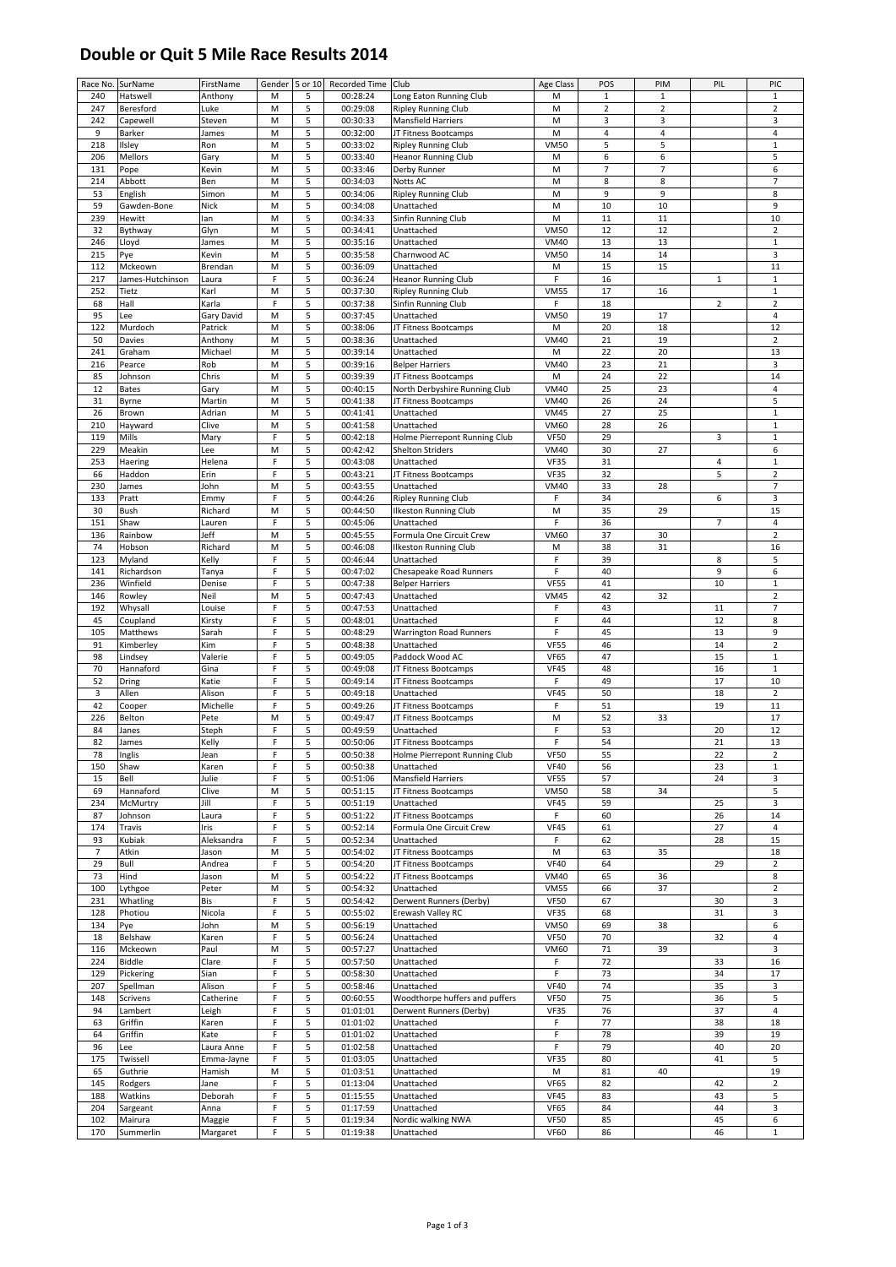## **Double or Quit 5 Mile Race Results 2014**

| Race No.       | SurName          | FirstName   | Gender      | 5 or 10 | Recorded Time Club |                                | Age Class   | POS                      | PIM            | PIL            | PIC                     |
|----------------|------------------|-------------|-------------|---------|--------------------|--------------------------------|-------------|--------------------------|----------------|----------------|-------------------------|
| 240            | Hatswell         | Anthony     | M           | 5       | 00:28:24           | Long Eaton Running Club        | M           | $\mathbf 1$              | $\mathbf 1$    |                | $\mathbf 1$             |
|                |                  |             |             |         |                    |                                |             |                          |                |                |                         |
| 247            | Beresford        | Luke        | M           | 5       | 00:29:08           | <b>Ripley Running Club</b>     | M           | $\overline{2}$           | $\overline{2}$ |                | $\overline{2}$          |
| 242            | Capewell         | Steven      | M           | 5       | 00:30:33           | Mansfield Harriers             | M           | 3                        | 3              |                | 3                       |
| 9              | Barker           | James       | M           | 5       | 00:32:00           | JT Fitness Bootcamps           | M           | 4                        | 4              |                | $\overline{4}$          |
| 218            | Ilsley           | Ron         | M           | 5       | 00:33:02           | <b>Ripley Running Club</b>     | <b>VM50</b> | 5                        | 5              |                | $\,1\,$                 |
| 206            | Mellors          | Gary        | M           | 5       | 00:33:40           | <b>Heanor Running Club</b>     | M           | 6                        | 6              |                | 5                       |
| 131            |                  |             | M           | 5       | 00:33:46           |                                | M           | $\overline{\phantom{a}}$ | $\overline{7}$ |                | 6                       |
|                | Pope             | Kevin       |             |         |                    | Derby Runner                   |             |                          |                |                |                         |
| 214            | Abbott           | Ben         | M           | 5       | 00:34:03           | <b>Notts AC</b>                | M           | 8                        | 8              |                | $\overline{7}$          |
| 53             | English          | Simon       | M           | 5       | 00:34:06           | <b>Ripley Running Club</b>     | M           | $\boldsymbol{9}$         | 9              |                | 8                       |
| 59             | Gawden-Bone      | <b>Nick</b> | M           | 5       | 00:34:08           | Unattached                     | M           | 10                       | 10             |                | 9                       |
| 239            | Hewitt           | lan         | M           | 5       | 00:34:33           | Sinfin Running Club            | M           | 11                       | 11             |                | 10                      |
|                |                  |             |             |         |                    |                                |             |                          |                |                |                         |
| 32             | Bythway          | Glyn        | M           | 5       | 00:34:41           | Unattached                     | <b>VM50</b> | 12                       | 12             |                | $\overline{2}$          |
| 246            | Lloyd            | James       | M           | 5       | 00:35:16           | Unattached                     | <b>VM40</b> | 13                       | 13             |                | $\mathbf{1}$            |
| 215            | Pye              | Kevin       | M           | 5       | 00:35:58           | Charnwood AC                   | <b>VM50</b> | 14                       | 14             |                | 3                       |
| 112            | Mckeown          | Brendan     | M           | 5       | 00:36:09           | Unattached                     | M           | 15                       | 15             |                | 11                      |
| 217            | James-Hutchinson | Laura       | F           | 5       | 00:36:24           | <b>Heanor Running Club</b>     | F           | 16                       |                | $\mathbf{1}$   | $\mathbf{1}$            |
|                |                  |             |             |         |                    |                                |             |                          |                |                |                         |
| 252            | Tietz            | Karl        | M           | 5       | 00:37:30           | Ripley Running Club            | <b>VM55</b> | 17                       | 16             |                | $\mathbf 1$             |
| 68             | Hall             | Karla       | F           | 5       | 00:37:38           | Sinfin Running Club            | F           | 18                       |                | 2              | $\overline{\mathbf{c}}$ |
| 95             | Lee              | Gary David  | M           | 5       | 00:37:45           | Unattached                     | <b>VM50</b> | 19                       | 17             |                | 4                       |
| 122            | Murdoch          | Patrick     | M           | 5       | 00:38:06           | JT Fitness Bootcamps           | M           | 20                       | 18             |                | 12                      |
|                |                  |             |             |         |                    |                                |             |                          |                |                |                         |
| 50             | Davies           | Anthony     | M           | 5       | 00:38:36           | Unattached                     | <b>VM40</b> | 21                       | 19             |                | $\overline{2}$          |
| 241            | Graham           | Michael     | M           | 5       | 00:39:14           | Unattached                     | M           | 22                       | 20             |                | 13                      |
| 216            | Pearce           | Rob         | M           | 5       | 00:39:16           | <b>Belper Harriers</b>         | <b>VM40</b> | 23                       | 21             |                | 3                       |
| 85             | Johnson          | Chris       | M           | 5       | 00:39:39           | JT Fitness Bootcamps           | M           | 24                       | 22             |                | 14                      |
| 12             | Bates            | Gary        | M           | 5       | 00:40:15           | North Derbyshire Running Club  | <b>VM40</b> | 25                       | 23             |                | 4                       |
|                |                  |             |             |         |                    |                                |             |                          |                |                |                         |
| 31             | Byrne            | Martin      | M           | 5       | 00:41:38           | JT Fitness Bootcamps           | <b>VM40</b> | 26                       | 24             |                | 5                       |
| 26             | Brown            | Adrian      | M           | 5       | 00:41:41           | Unattached                     | <b>VM45</b> | 27                       | 25             |                | $\mathbf 1$             |
| 210            | Hayward          | Clive       | M           | 5       | 00:41:58           | Unattached                     | <b>VM60</b> | 28                       | 26             |                | $\,1\,$                 |
| 119            | Mills            | Mary        | F           | 5       | 00:42:18           | Holme Pierrepont Running Club  | <b>VF50</b> | 29                       |                | 3              | $\,1\,$                 |
| 229            |                  |             |             | 5       | 00:42:42           |                                |             | 30                       | 27             |                | 6                       |
|                | Meakin           | Lee         | M           |         |                    | <b>Shelton Striders</b>        | <b>VM40</b> |                          |                |                |                         |
| 253            | Haering          | Helena      | F           | 5       | 00:43:08           | Unattached                     | <b>VF35</b> | 31                       |                | 4              | $\mathbf{1}$            |
| 66             | Haddon           | Erin        | F           | 5       | 00:43:21           | JT Fitness Bootcamps           | <b>VF35</b> | 32                       |                | 5              | $\mathbf 2$             |
| 230            | James            | John        | M           | 5       | 00:43:55           | Unattached                     | <b>VM40</b> | 33                       | 28             |                | $\overline{7}$          |
| 133            | Pratt            | Emmy        | F           | 5       | 00:44:26           | <b>Ripley Running Club</b>     | F           | 34                       |                | 6              | 3                       |
|                |                  |             |             |         |                    |                                |             |                          |                |                |                         |
| 30             | Bush             | Richard     | M           | 5       | 00:44:50           | <b>Ilkeston Running Club</b>   | M           | 35                       | 29             |                | 15                      |
| 151            | Shaw             | Lauren      | F           | 5       | 00:45:06           | Unattached                     | F           | 36                       |                | $\overline{7}$ | $\overline{4}$          |
| 136            | Rainbow          | Jeff        | M           | 5       | 00:45:55           | Formula One Circuit Crew       | <b>VM60</b> | 37                       | 30             |                | $\overline{2}$          |
| 74             | Hobson           | Richard     | M           | 5       | 00:46:08           | <b>Ilkeston Running Club</b>   | M           | 38                       | 31             |                | 16                      |
| 123            |                  | Kelly       | F           | 5       | 00:46:44           | Unattached                     | F           |                          |                | 8              | 5                       |
|                | Myland           |             |             |         |                    |                                |             | 39                       |                |                |                         |
| 141            | Richardson       | Tanya       | F           | 5       | 00:47:02           | Chesapeake Road Runners        | F           | 40                       |                | 9              | 6                       |
| 236            | Winfield         | Denise      | F           | 5       | 00:47:38           | <b>Belper Harriers</b>         | <b>VF55</b> | 41                       |                | 10             | $\mathbf{1}$            |
| 146            | Rowley           | Neil        | M           | 5       | 00:47:43           | Unattached                     | <b>VM45</b> | 42                       | 32             |                | $\overline{2}$          |
| 192            | Whysall          | Louise      | F           | 5       | 00:47:53           | Unattached                     | F           | 43                       |                | 11             | $\overline{7}$          |
|                |                  |             |             |         |                    |                                |             |                          |                |                |                         |
| 45             | Coupland         | Kirsty      | F           | 5       | 00:48:01           | Unattached                     | F           | 44                       |                | 12             | 8                       |
| 105            | Matthews         | Sarah       | F           | 5       | 00:48:29           | Warrington Road Runners        | F           | 45                       |                | 13             | 9                       |
| 91             | Kimberley        | Kim         | F           | 5       | 00:48:38           | Unattached                     | <b>VF55</b> | 46                       |                | 14             | $\overline{2}$          |
| 98             | Lindsey          | Valerie     | F           | 5       | 00:49:05           | Paddock Wood AC                | <b>VF65</b> | 47                       |                | 15             | $\mathbf{1}$            |
|                |                  |             |             |         |                    |                                |             |                          |                |                |                         |
| 70             | Hannaford        | Gina        | F           | 5       | 00:49:08           | JT Fitness Bootcamps           | <b>VF45</b> | 48                       |                | 16             | $\,1\,$                 |
| 52             | Dring            | Katie       | F           | 5       | 00:49:14           | JT Fitness Bootcamps           | F           | 49                       |                | 17             | 10                      |
| 3              | Allen            | Alison      | F           | 5       | 00:49:18           | Unattached                     | <b>VF45</b> | 50                       |                | 18             | $\overline{2}$          |
| 42             | Cooper           | Michelle    | F           | 5       | 00:49:26           | JT Fitness Bootcamps           | F           | 51                       |                | 19             | 11                      |
|                |                  |             |             |         |                    |                                |             |                          |                |                | 17                      |
| 226            | Belton           | Pete        | M           | 5       | 00:49:47           | JT Fitness Bootcamps           | M           | 52                       | 33             |                |                         |
| 84             | Janes            | Steph       | F           | 5       | 00:49:59           | Unattached                     | F           | 53                       |                | 20             | 12                      |
| 82             | James            | Kelly       | F           | 5       | 00:50:06           | JT Fitness Bootcamps           | F           | 54                       |                | 21             | 13                      |
| 78             | Inglis           | Jean        | F           | 5       | 00:50:38           | Holme Pierrepont Running Club  | <b>VF50</b> | 55                       |                | 22             | $\overline{\mathbf{c}}$ |
| 150            | Shaw             | Karen       | F           | 5       | 00:50:38           | Unattached                     | <b>VF40</b> | 56                       |                | 23             | $1\,$                   |
|                |                  |             |             |         |                    |                                |             |                          |                |                |                         |
| 15             | Bell             | Julie       | F           | 5       | 00:51:06           | Mansfield Harriers             | <b>VF55</b> | 57                       |                | 24             | 3                       |
| 69             | Hannaford        | Clive       | M           | 5       | 00:51:15           | JT Fitness Bootcamps           | <b>VM50</b> | 58                       | 34             |                | 5                       |
| 234            | McMurtry         | Jill        | F           | 5       | 00:51:19           | Unattached                     | <b>VF45</b> | 59                       |                | 25             | 3                       |
| 87             | Johnson          | Laura       | F           | 5       | 00:51:22           | JT Fitness Bootcamps           | F           | 60                       |                | 26             | 14                      |
| 174            | Travis           | Iris        | F           | 5       | 00:52:14           | Formula One Circuit Crew       | <b>VF45</b> | 61                       |                | 27             | 4                       |
|                |                  |             |             |         |                    |                                |             |                          |                |                |                         |
| 93             | Kubiak           | Aleksandra  | $\mathsf F$ | 5       | 00:52:34           | Unattached                     | F           | 62                       |                | 28             | 15                      |
| $\overline{7}$ | Atkin            | Jason       | M           | 5       | 00:54:02           | JT Fitness Bootcamps           | M           | 63                       | 35             |                | 18                      |
| 29             | Bull             | Andrea      | F           | 5       | 00:54:20           | JT Fitness Bootcamps           | <b>VF40</b> | 64                       |                | 29             | $\overline{2}$          |
| 73             | Hind             | Jason       | M           | 5       | 00:54:22           | JT Fitness Bootcamps           | <b>VM40</b> | 65                       | 36             |                | 8                       |
| 100            | Lythgoe          | Peter       | M           | 5       | 00:54:32           | Unattached                     | <b>VM55</b> | 66                       | 37             |                | $\overline{2}$          |
| 231            |                  | <b>Bis</b>  |             | 5       | 00:54:42           | Derwent Runners (Derby)        | <b>VF50</b> | 67                       |                | 30             |                         |
|                | Whatling         |             | F           |         |                    |                                |             |                          |                |                | 3                       |
| 128            | Photiou          | Nicola      | F           | 5       | 00:55:02           | Erewash Valley RC              | <b>VF35</b> | 68                       |                | 31             | 3                       |
| 134            | Pye              | John        | M           | 5       | 00:56:19           | Unattached                     | <b>VM50</b> | 69                       | 38             |                | 6                       |
| 18             | Belshaw          | Karen       | F           | 5       | 00:56:24           | Unattached                     | <b>VF50</b> | 70                       |                | 32             | 4                       |
| 116            | Mckeown          | Paul        | M           | 5       | 00:57:27           | Unattached                     | <b>VM60</b> | 71                       | 39             |                | 3                       |
|                |                  |             |             |         |                    |                                |             |                          |                |                |                         |
| 224            | Biddle           | Clare       | F           | 5       | 00:57:50           | Unattached                     | F           | 72                       |                | 33             | 16                      |
| 129            | Pickering        | Sian        | F           | 5       | 00:58:30           | Unattached                     | $\mathsf F$ | 73                       |                | 34             | 17                      |
| 207            | Spellman         | Alison      | F           | 5       | 00:58:46           | Unattached                     | <b>VF40</b> | 74                       |                | 35             | 3                       |
| 148            | Scrivens         | Catherine   | F           | 5       | 00:60:55           | Woodthorpe huffers and puffers | <b>VF50</b> | 75                       |                | 36             | 5                       |
|                |                  |             |             |         |                    |                                |             |                          |                |                |                         |
| 94             | Lambert          | Leigh       | F           | 5       | 01:01:01           | Derwent Runners (Derby)        | <b>VF35</b> | 76                       |                | 37             | $\overline{4}$          |
| 63             | Griffin          | Karen       | F           | 5       | 01:01:02           | Unattached                     | F           | 77                       |                | 38             | 18                      |
| 64             | Griffin          | Kate        | F           | 5       | 01:01:02           | Unattached                     | F           | 78                       |                | 39             | 19                      |
| 96             | Lee              | Laura Anne  | F           | 5       | 01:02:58           | Unattached                     | $\mathsf F$ | 79                       |                | 40             | 20                      |
|                |                  |             |             |         |                    |                                |             |                          |                |                |                         |
| 175            | Twissell         | Emma-Jayne  | F           | 5       | 01:03:05           | Unattached                     | <b>VF35</b> | 80                       |                | 41             | 5                       |
| 65             | Guthrie          | Hamish      | M           | 5       | 01:03:51           | Unattached                     | M           | 81                       | 40             |                | 19                      |
| 145            | Rodgers          | Jane        | $\mathsf F$ | 5       | 01:13:04           | Unattached                     | <b>VF65</b> | 82                       |                | 42             | $\overline{2}$          |
| 188            | Watkins          | Deborah     | F           | 5       | 01:15:55           | Unattached                     | <b>VF45</b> | 83                       |                | 43             | 5                       |
| 204            | Sargeant         | Anna        | F           | 5       | 01:17:59           | Unattached                     | <b>VF65</b> | 84                       |                | 44             | 3                       |
|                |                  |             |             |         |                    |                                |             |                          |                |                |                         |
| 102            | Mairura          | Maggie      | F           | 5       | 01:19:34           | Nordic walking NWA             | <b>VF50</b> | 85                       |                | 45             | 6                       |
| 170            | Summerlin        | Margaret    | F           | 5       | 01:19:38           | Unattached                     | <b>VF60</b> | 86                       |                | 46             | $\mathbf{1}$            |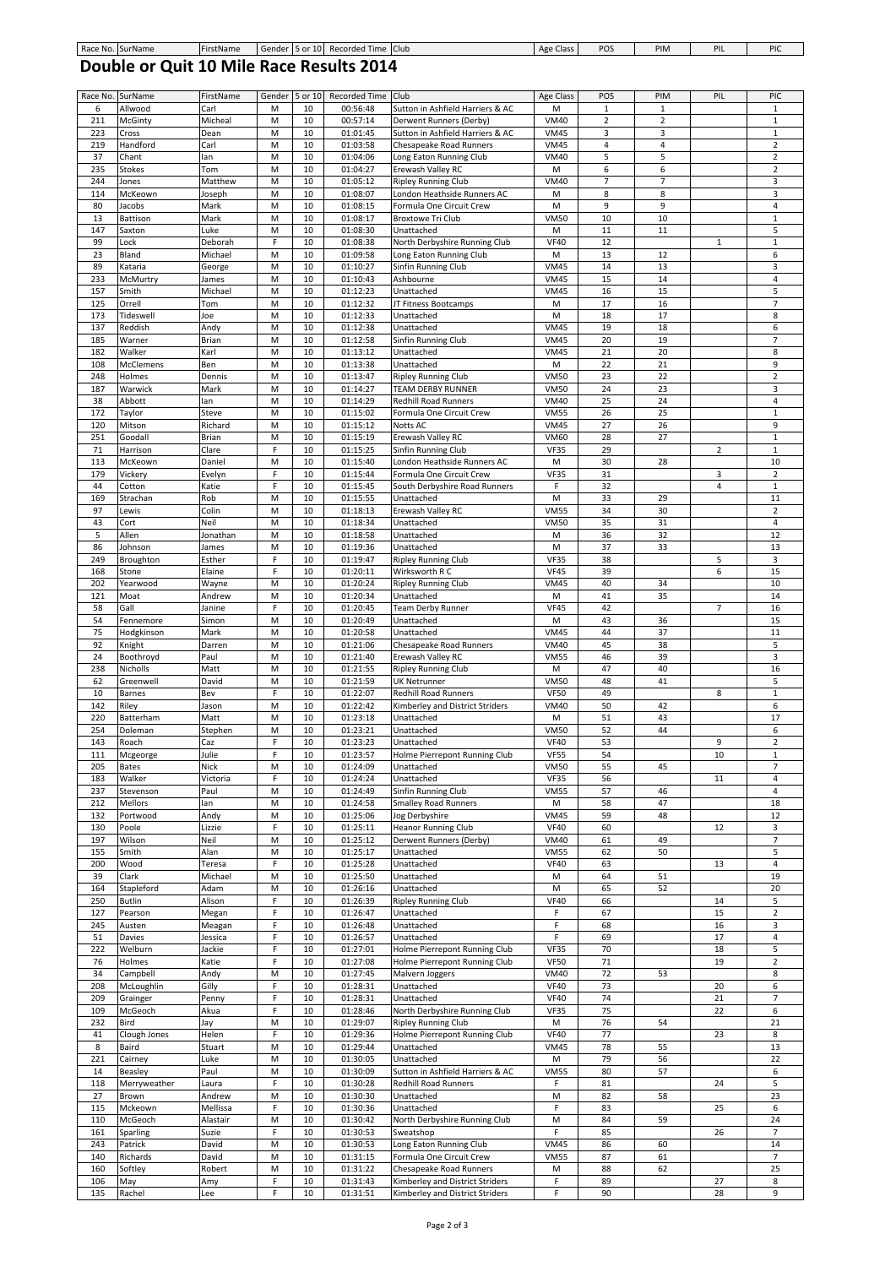## **Double or Quit 10 Mile Race Results 2014**

| Race No. | SurName       | FirstName | Gender      | 5 or 10 | Recorded Time | Club                             | Age Class   | POS              | PIM            | PIL            | PIC                      |
|----------|---------------|-----------|-------------|---------|---------------|----------------------------------|-------------|------------------|----------------|----------------|--------------------------|
| 6        | Allwood       | Carl      | M           | 10      | 00:56:48      | Sutton in Ashfield Harriers & AC | M           | $\mathbf{1}$     | $1\,$          |                | $1\,$                    |
| 211      | McGinty       | Micheal   | M           | 10      | 00:57:14      | Derwent Runners (Derby)          | <b>VM40</b> | $\overline{2}$   | $\overline{2}$ |                | $\mathbf 1$              |
| 223      |               |           | M           | 10      | 01:01:45      |                                  | <b>VM45</b> | 3                | 3              |                | $\mathbf 1$              |
|          | Cross         | Dean      |             |         |               | Sutton in Ashfield Harriers & AC |             |                  |                |                |                          |
| 219      | Handford      | Carl      | M           | 10      | 01:03:58      | Chesapeake Road Runners          | <b>VM45</b> | $\pmb{4}$        | $\sqrt{4}$     |                | $\overline{2}$           |
| 37       | Chant         | lan       | M           | 10      | 01:04:06      | Long Eaton Running Club          | <b>VM40</b> | 5                | 5              |                | $\overline{2}$           |
| 235      | <b>Stokes</b> | Tom       | M           | 10      | 01:04:27      | Erewash Valley RC                | M           | 6                | 6              |                | $\overline{2}$           |
| 244      | Jones         | Matthew   | M           | 10      | 01:05:12      | <b>Ripley Running Club</b>       | <b>VM40</b> | $\overline{7}$   | $\overline{7}$ |                | 3                        |
| 114      | McKeown       | Joseph    | M           | 10      | 01:08:07      | London Heathside Runners AC      | M           | 8                | 8              |                | 3                        |
| 80       | Jacobs        | Mark      | M           | 10      | 01:08:15      | Formula One Circuit Crew         | M           | $\boldsymbol{9}$ | 9              |                | $\overline{a}$           |
| 13       |               |           | M           | 10      | 01:08:17      | <b>Broxtowe Tri Club</b>         | <b>VM50</b> | 10               | 10             |                | $\mathbf 1$              |
|          | Battison      | Mark      |             |         |               |                                  |             |                  |                |                |                          |
| 147      | Saxton        | Luke      | M           | 10      | 01:08:30      | Unattached                       | M           | 11               | 11             |                | 5                        |
| 99       | Lock          | Deborah   | F           | 10      | 01:08:38      | North Derbyshire Running Club    | <b>VF40</b> | 12               |                | 1              | $\,1\,$                  |
| 23       | Bland         | Michael   | M           | 10      | 01:09:58      | Long Eaton Running Club          | M           | 13               | 12             |                | 6                        |
| 89       | Kataria       | George    | M           | 10      | 01:10:27      | Sinfin Running Club              | <b>VM45</b> | 14               | 13             |                | 3                        |
| 233      | McMurtry      | James     | M           | 10      | 01:10:43      | Ashbourne                        | <b>VM45</b> | 15               | 14             |                | $\overline{a}$           |
| 157      | Smith         | Michael   | M           | 10      | 01:12:23      | Unattached                       | <b>VM45</b> | 16               | 15             |                | 5                        |
|          |               |           |             | 10      |               |                                  |             |                  |                |                | $\overline{7}$           |
| 125      | Orrell        | Tom       | M           |         | 01:12:32      | JT Fitness Bootcamps             | M           | 17               | 16             |                |                          |
| 173      | Tideswell     | Joe       | M           | 10      | 01:12:33      | Unattached                       | M           | 18               | 17             |                | 8                        |
| 137      | Reddish       | Andy      | M           | 10      | 01:12:38      | Unattached                       | <b>VM45</b> | 19               | 18             |                | 6                        |
| 185      | Warner        | Brian     | M           | 10      | 01:12:58      | Sinfin Running Club              | <b>VM45</b> | 20               | 19             |                | $\overline{7}$           |
| 182      | Walker        | Karl      | M           | 10      | 01:13:12      | Unattached                       | <b>VM45</b> | 21               | 20             |                | 8                        |
| 108      | McClemens     | Ben       | M           | 10      | 01:13:38      | Unattached                       | M           | 22               | 21             |                | 9                        |
| 248      | Holmes        | Dennis    | M           | 10      | 01:13:47      | <b>Ripley Running Club</b>       | <b>VM50</b> | 23               | 22             |                | $\overline{2}$           |
| 187      | Warwick       | Mark      | M           | 10      | 01:14:27      | <b>TEAM DERBY RUNNER</b>         | <b>VM50</b> | 24               | 23             |                | 3                        |
|          |               | lan       | M           | 10      |               |                                  | <b>VM40</b> | 25               | 24             |                | $\overline{a}$           |
| 38       | Abbott        |           |             |         | 01:14:29      | Redhill Road Runners             |             |                  |                |                |                          |
| 172      | Taylor        | Steve     | M           | 10      | 01:15:02      | Formula One Circuit Crew         | <b>VM55</b> | 26               | 25             |                | $\mathbf{1}$             |
| 120      | Mitson        | Richard   | M           | 10      | 01:15:12      | Notts AC                         | <b>VM45</b> | 27               | 26             |                | 9                        |
| 251      | Goodall       | Brian     | M           | 10      | 01:15:19      | Erewash Valley RC                | <b>VM60</b> | 28               | 27             |                | $\mathbf 1$              |
| 71       | Harrison      | Clare     | F           | 10      | 01:15:25      | Sinfin Running Club              | <b>VF35</b> | 29               |                | $\overline{2}$ | $\,1\,$                  |
| 113      | McKeown       | Daniel    | M           | 10      | 01:15:40      | London Heathside Runners AC      | M           | 30               | 28             |                | 10                       |
| 179      | Vickery       | Evelyn    | $\mathsf F$ | 10      | 01:15:44      | Formula One Circuit Crew         | <b>VF35</b> | 31               |                | 3              | $\overline{2}$           |
| 44       | Cotton        | Katie     | F           | 10      | 01:15:45      | South Derbyshire Road Runners    | F           | 32               |                | 4              | $\,1\,$                  |
| 169      |               | Rob       | M           | 10      |               |                                  | M           | 33               | 29             |                | 11                       |
|          | Strachan      |           |             |         | 01:15:55      | Unattached                       |             |                  |                |                |                          |
| 97       | Lewis         | Colin     | M           | 10      | 01:18:13      | Erewash Valley RC                | <b>VM55</b> | 34               | 30             |                | $\overline{2}$           |
| 43       | Cort          | Neil      | M           | 10      | 01:18:34      | Unattached                       | <b>VM50</b> | 35               | 31             |                | $\sqrt{4}$               |
| 5        | Allen         | Jonathan  | M           | 10      | 01:18:58      | Unattached                       | M           | 36               | 32             |                | 12                       |
| 86       | Johnson       | James     | M           | 10      | 01:19:36      | Unattached                       | M           | 37               | 33             |                | 13                       |
| 249      | Broughton     | Esther    | $\mathsf F$ | 10      | 01:19:47      | <b>Ripley Running Club</b>       | <b>VF35</b> | 38               |                | 5              | 3                        |
| 168      | Stone         | Elaine    | F           | 10      | 01:20:11      | Wirksworth R C                   | <b>VF45</b> | 39               |                | 6              | 15                       |
| 202      | Yearwood      | Wayne     | M           | 10      | 01:20:24      | <b>Ripley Running Club</b>       | <b>VM45</b> | 40               | 34             |                | 10                       |
| 121      | Moat          |           | M           | 10      | 01:20:34      | Unattached                       | M           | 41               | 35             |                | 14                       |
|          |               | Andrew    |             |         |               |                                  |             |                  |                |                |                          |
| 58       | Gall          | Janine    | F           | 10      | 01:20:45      | <b>Team Derby Runner</b>         | <b>VF45</b> | 42               |                | 7              | 16                       |
| 54       | Fennemore     | Simon     | M           | 10      | 01:20:49      | Unattached                       | M           | 43               | 36             |                | 15                       |
| 75       | Hodgkinson    | Mark      | M           | 10      | 01:20:58      | Unattached                       | <b>VM45</b> | 44               | 37             |                | 11                       |
| 92       | Knight        | Darren    | M           | 10      | 01:21:06      | Chesapeake Road Runners          | <b>VM40</b> | 45               | 38             |                | 5                        |
| 24       | Boothroyd     | Paul      | M           | 10      | 01:21:40      | Erewash Valley RC                | <b>VM55</b> | 46               | 39             |                | 3                        |
| 238      | Nicholls      | Matt      | M           | 10      | 01:21:55      | <b>Ripley Running Club</b>       | M           | 47               | 40             |                | 16                       |
| 62       | Greenwell     | David     | M           | 10      | 01:21:59      | <b>UK Netrunner</b>              | <b>VM50</b> | 48               | 41             |                | 5                        |
| 10       | Barnes        | Bev       | F           | 10      | 01:22:07      | Redhill Road Runners             | <b>VF50</b> | 49               |                | 8              | $\mathbf 1$              |
|          |               |           |             |         |               |                                  |             |                  |                |                |                          |
| 142      | Riley         | Jason     | M           | 10      | 01:22:42      | Kimberley and District Striders  | <b>VM40</b> | 50               | 42             |                | 6                        |
| 220      | Batterham     | Matt      | M           | 10      | 01:23:18      | Unattached                       | M           | 51               | 43             |                | 17                       |
| 254      | Doleman       | Stephen   | M           | 10      | 01:23:21      | Unattached                       | <b>VM50</b> | 52               | 44             |                | 6                        |
| 143      | Roach         | Caz       | F           | 10      | 01:23:23      | Unattached                       | <b>VF40</b> | 53               |                | 9              | $\overline{2}$           |
| 111      | Mcgeorge      | Julie     | F           | 10      | 01:23:57      | Holme Pierrepont Running Club    | <b>VF55</b> | 54               |                | 10             | $\mathbf{1}$             |
| 205      | Bates         | Nick      | M           | 10      | 01:24:09      | Unattached                       | VM50        | 55               | 45             |                |                          |
| 183      | Walker        | Victoria  | F           | 10      | 01:24:24      | Unattached                       | <b>VF35</b> | 56               |                | 11             | 4                        |
|          |               |           |             |         |               |                                  |             |                  |                |                |                          |
| 237      | Stevenson     | Paul      | M           | 10      | 01:24:49      | Sinfin Running Club              | <b>VM55</b> | 57               | 46             |                | $\overline{4}$           |
| 212      | Mellors       | lan       | M           | 10      | 01:24:58      | <b>Smalley Road Runners</b>      | M           | 58               | 47             |                | 18                       |
| 132      | Portwood      | Andy      | M           | 10      | 01:25:06      | Jog Derbyshire                   | <b>VM45</b> | 59               | 48             |                | 12                       |
| 130      | Poole         | Lizzie    | F           | 10      | 01:25:11      | <b>Heanor Running Club</b>       | <b>VF40</b> | 60               |                | 12             | 3                        |
| 197      | Wilson        | Neil      | M           | 10      | 01:25:12      | Derwent Runners (Derby)          | <b>VM40</b> | 61               | 49             |                | $\overline{7}$           |
| 155      | Smith         | Alan      | M           | 10      | 01:25:17      | Unattached                       | <b>VM55</b> | 62               | 50             |                | 5                        |
| 200      | Wood          | Teresa    | F           | 10      | 01:25:28      | Unattached                       | <b>VF40</b> | 63               |                | 13             | 4                        |
| 39       | Clark         | Michael   | M           | 10      | 01:25:50      | Unattached                       | M           | 64               | 51             |                | 19                       |
| 164      | Stapleford    | Adam      | M           | 10      | 01:26:16      | Unattached                       | M           | 65               | 52             |                | 20                       |
|          |               |           |             |         |               |                                  | <b>VF40</b> |                  |                |                |                          |
| 250      | <b>Butlin</b> | Alison    | F           | 10      | 01:26:39      | <b>Ripley Running Club</b>       |             | 66               |                | 14             | 5                        |
| 127      | Pearson       | Megan     | F           | 10      | 01:26:47      | Unattached                       | F           | 67               |                | 15             | $\overline{2}$           |
| 245      | Austen        | Meagan    | $\mathsf F$ | 10      | 01:26:48      | Unattached                       | F           | 68               |                | 16             | 3                        |
| 51       | Davies        | Jessica   | F           | 10      | 01:26:57      | Unattached                       | F           | 69               |                | 17             | 4                        |
| 222      | Welburn       | Jackie    | F           | 10      | 01:27:01      | Holme Pierrepont Running Club    | <b>VF35</b> | 70               |                | 18             | 5                        |
| 76       | Holmes        | Katie     | $\mathsf F$ | 10      | 01:27:08      | Holme Pierrepont Running Club    | <b>VF50</b> | 71               |                | 19             | $\overline{2}$           |
| 34       | Campbell      | Andy      | M           | 10      | 01:27:45      | Malvern Joggers                  | <b>VM40</b> | 72               | 53             |                | 8                        |
| 208      | McLoughlin    | Gilly     | F           | 10      | 01:28:31      | Unattached                       | <b>VF40</b> | 73               |                | 20             | 6                        |
|          |               |           |             |         |               |                                  |             |                  |                |                |                          |
| 209      | Grainger      | Penny     | F           | 10      | 01:28:31      | Unattached                       | <b>VF40</b> | 74               |                | 21             | $\overline{7}$           |
| 109      | McGeoch       | Akua      | $\mathsf F$ | 10      | 01:28:46      | North Derbyshire Running Club    | <b>VF35</b> | 75               |                | 22             | 6                        |
| 232      | Bird          | Jay       | М           | 10      | 01:29:07      | <b>Ripley Running Club</b>       | M           | 76               | 54             |                | 21                       |
| 41       | Clough Jones  | Helen     | F           | 10      | 01:29:36      | Holme Pierrepont Running Club    | <b>VF40</b> | 77               |                | 23             | 8                        |
| 8        | Baird         | Stuart    | M           | 10      | 01:29:44      | Unattached                       | <b>VM45</b> | 78               | 55             |                | 13                       |
| 221      | Cairney       | Luke      | M           | 10      | 01:30:05      | Unattached                       | M           | 79               | 56             |                | 22                       |
| 14       | Beasley       | Paul      | M           | 10      | 01:30:09      | Sutton in Ashfield Harriers & AC | <b>VM55</b> | 80               | 57             |                | 6                        |
| 118      | Merryweather  | Laura     | F           | 10      | 01:30:28      | <b>Redhill Road Runners</b>      | F           | 81               |                | 24             | 5                        |
| 27       |               |           |             |         | 01:30:30      |                                  |             |                  |                |                | 23                       |
|          | Brown         | Andrew    | M           | 10      |               | Unattached                       | M           | 82               | 58             |                |                          |
| 115      | Mckeown       | Mellissa  | F           | 10      | 01:30:36      | Unattached                       | F           | 83               |                | 25             | 6                        |
| 110      | McGeoch       | Alastair  | M           | 10      | 01:30:42      | North Derbyshire Running Club    | M           | 84               | 59             |                | 24                       |
| 161      | Sparling      | Suzie     | $\mathsf F$ | 10      | 01:30:53      | Sweatshop                        | F           | 85               |                | 26             | $\overline{7}$           |
| 243      | Patrick       | David     | M           | 10      | 01:30:53      | Long Eaton Running Club          | <b>VM45</b> | 86               | 60             |                | 14                       |
| 140      | Richards      | David     | M           | 10      | 01:31:15      | Formula One Circuit Crew         | <b>VM55</b> | 87               | 61             |                | $\overline{\phantom{a}}$ |
| 160      | Softley       | Robert    | M           | 10      | 01:31:22      | Chesapeake Road Runners          | M           | 88               | 62             |                | 25                       |
| 106      | May           | Amy       | F           | 10      | 01:31:43      | Kimberley and District Striders  | F           | 89               |                | 27             | 8                        |
|          |               |           | F           | 10      |               |                                  | F           | 90               |                |                |                          |
| 135      | Rachel        | Lee       |             |         | 01:31:51      | Kimberley and District Striders  |             |                  |                | 28             | 9                        |